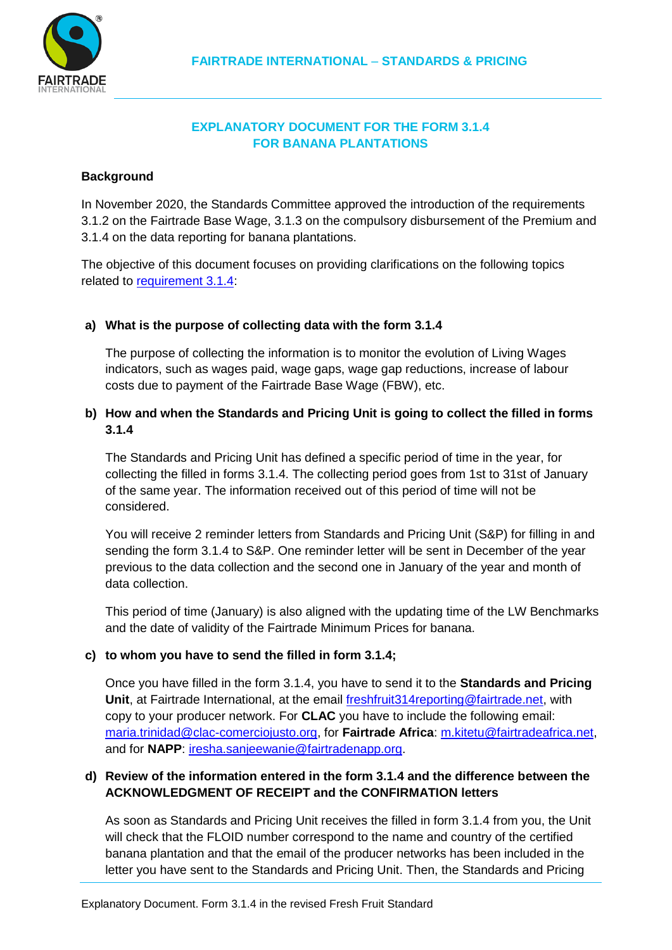

# **EXPLANATORY DOCUMENT FOR THE FORM 3.1.4 FOR BANANA PLANTATIONS**

### **Background**

In November 2020, the Standards Committee approved the introduction of the requirements 3.1.2 on the Fairtrade Base Wage, 3.1.3 on the compulsory disbursement of the Premium and 3.1.4 on the data reporting for banana plantations.

The objective of this document focuses on providing clarifications on the following topics related to [requirement 3.1.4:](https://files.fairtrade.net/standards/Fresh_Fruit_HL-EN.pdf)

## **a) What is the purpose of collecting data with the form 3.1.4**

The purpose of collecting the information is to monitor the evolution of Living Wages indicators, such as wages paid, wage gaps, wage gap reductions, increase of labour costs due to payment of the Fairtrade Base Wage (FBW), etc.

## **b) How and when the Standards and Pricing Unit is going to collect the filled in forms 3.1.4**

The Standards and Pricing Unit has defined a specific period of time in the year, for collecting the filled in forms 3.1.4. The collecting period goes from 1st to 31st of January of the same year. The information received out of this period of time will not be considered.

You will receive 2 reminder letters from Standards and Pricing Unit (S&P) for filling in and sending the form 3.1.4 to S&P. One reminder letter will be sent in December of the year previous to the data collection and the second one in January of the year and month of data collection.

This period of time (January) is also aligned with the updating time of the LW Benchmarks and the date of validity of the Fairtrade Minimum Prices for banana.

#### **c) to whom you have to send the filled in form 3.1.4;**

Once you have filled in the form 3.1.4, you have to send it to the **Standards and Pricing Unit**, at Fairtrade International, at the email [freshfruit314reporting@fairtrade.net,](mailto:freshfruit314reporting@fairtrade.net) with copy to your producer network. For **CLAC** you have to include the following email: [maria.trinidad@clac-comerciojusto.org,](mailto:maria.trinidad@clac-comerciojusto.org) for **Fairtrade Africa**: [m.kitetu@fairtradeafrica.net,](mailto:m.kitetu@fairtradeafrica.net) and for **NAPP**: [iresha.sanjeewanie@fairtradenapp.org.](mailto:iresha.sanjeewanie@fairtradenapp.org)

### **d) Review of the information entered in the form 3.1.4 and the difference between the ACKNOWLEDGMENT OF RECEIPT and the CONFIRMATION letters**

As soon as Standards and Pricing Unit receives the filled in form 3.1.4 from you, the Unit will check that the FLOID number correspond to the name and country of the certified banana plantation and that the email of the producer networks has been included in the letter you have sent to the Standards and Pricing Unit. Then, the Standards and Pricing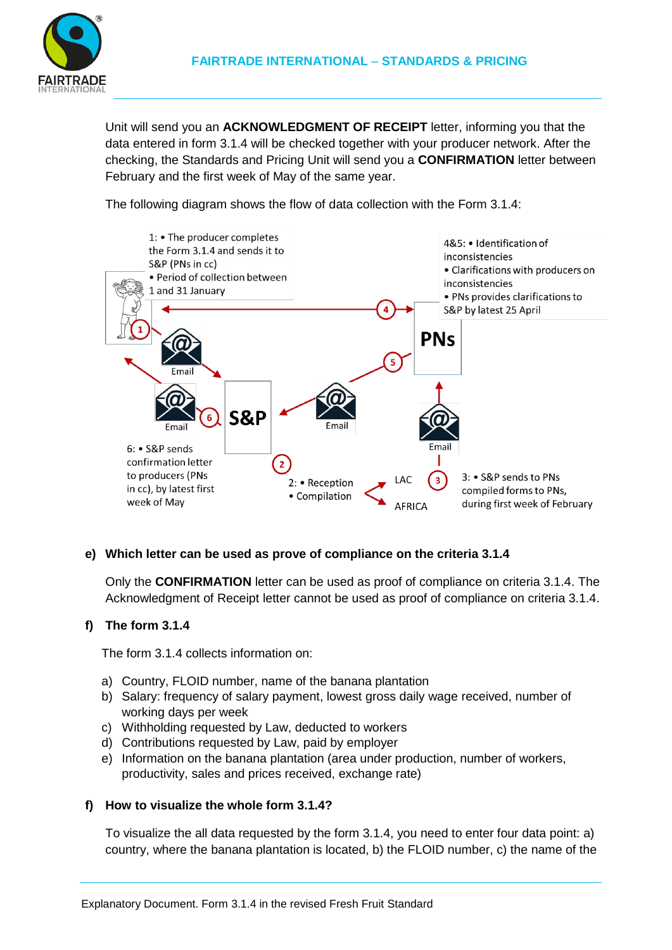

Unit will send you an **ACKNOWLEDGMENT OF RECEIPT** letter, informing you that the data entered in form 3.1.4 will be checked together with your producer network. After the checking, the Standards and Pricing Unit will send you a **CONFIRMATION** letter between February and the first week of May of the same year.

The following diagram shows the flow of data collection with the Form 3.1.4:



## **e) Which letter can be used as prove of compliance on the criteria 3.1.4**

Only the **CONFIRMATION** letter can be used as proof of compliance on criteria 3.1.4. The Acknowledgment of Receipt letter cannot be used as proof of compliance on criteria 3.1.4.

## **f) The form 3.1.4**

The form 3.1.4 collects information on:

- a) Country, FLOID number, name of the banana plantation
- b) Salary: frequency of salary payment, lowest gross daily wage received, number of working days per week
- c) Withholding requested by Law, deducted to workers
- d) Contributions requested by Law, paid by employer
- e) Information on the banana plantation (area under production, number of workers, productivity, sales and prices received, exchange rate)

## **f) How to visualize the whole form 3.1.4?**

To visualize the all data requested by the form 3.1.4, you need to enter four data point: a) country, where the banana plantation is located, b) the FLOID number, c) the name of the